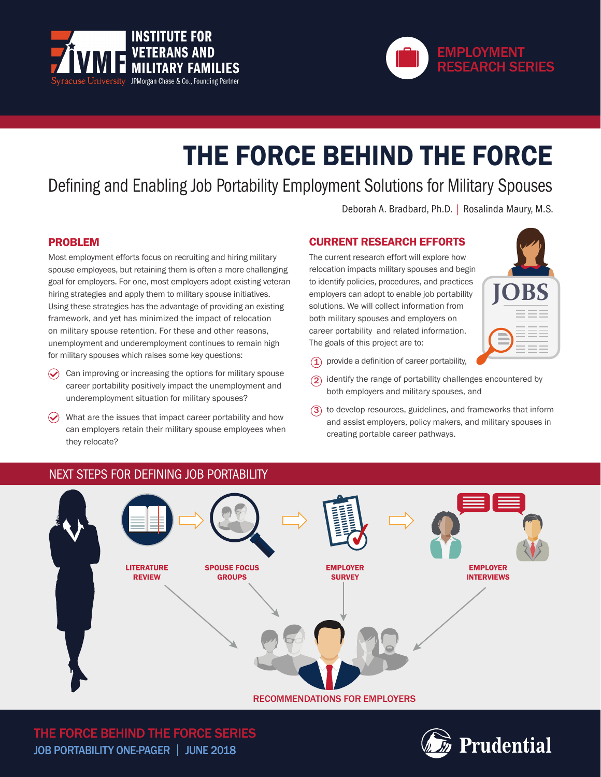



# THE FORCE BEHIND THE FORCE

Defining and Enabling Job Portability Employment Solutions for Military Spouses

Deborah A. Bradbard, Ph.D. | Rosalinda Maury, M.S.

# PROBLEM

Most employment efforts focus on recruiting and hiring military spouse employees, but retaining them is often a more challenging goal for employers. For one, most employers adopt existing veteran hiring strategies and apply them to military spouse initiatives. Using these strategies has the advantage of providing an existing framework, and yet has minimized the impact of relocation on military spouse retention. For these and other reasons, unemployment and underemployment continues to remain high for military spouses which raises some key questions:

- $\odot$ Can improving or increasing the options for military spouse career portability positively impact the unemployment and underemployment situation for military spouses?
- $\bigcirc$  What are the issues that impact career portability and how can employers retain their military spouse employees when they relocate?

# CURRENT RESEARCH EFFORTS

The current research effort will explore how relocation impacts military spouses and begin to identify policies, procedures, and practices employers can adopt to enable job portability solutions. We will collect information from both military spouses and employers on career portability and related information. The goals of this project are to:



- 1 provide a definition of career portability,
- $(2)$ identify the range of portability challenges encountered by both employers and military spouses, and
- $3)$  to develop resources, guidelines, and frameworks that inform and assist employers, policy makers, and military spouses in creating portable career pathways.

# NEXT STEPS FOR DEFINING JOB PORTABILITY